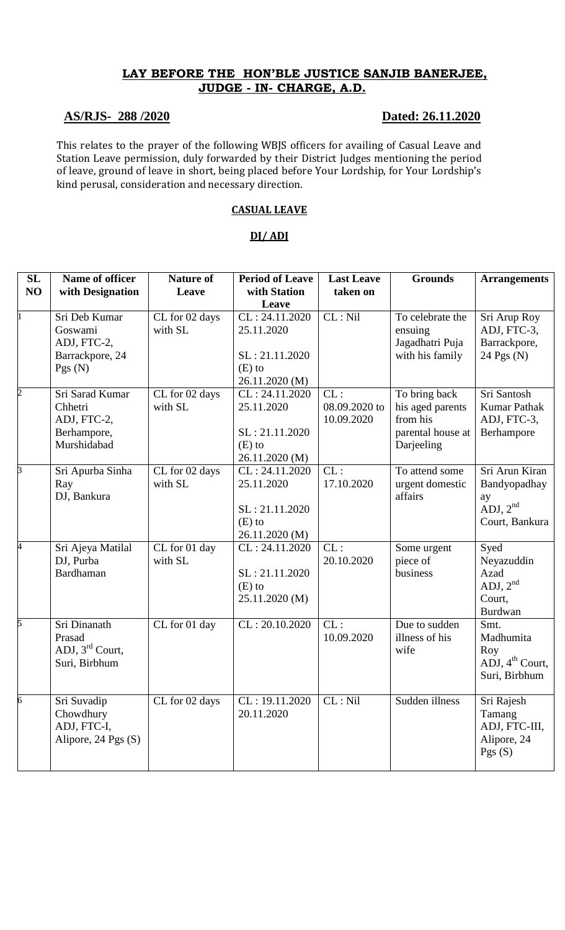# **LAY BEFORE THE HON'BLE JUSTICE SANJIB BANERJEE, JUDGE - IN- CHARGE, A.D.**

## **AS/RJS- 288 /2020 Dated: 26.11.2020**

This relates to the prayer of the following WBJS officers for availing of Casual Leave and Station Leave permission, duly forwarded by their District Judges mentioning the period of leave, ground of leave in short, being placed before Your Lordship, for Your Lordship's kind perusal, consideration and necessary direction.

### **CASUAL LEAVE**

## **DJ/ ADJ**

| SL<br>NO       | Name of officer<br>with Designation                                     | <b>Nature of</b><br>Leave | <b>Period of Leave</b><br>with Station                                       | <b>Last Leave</b><br>taken on      | <b>Grounds</b>                                                                   | <b>Arrangements</b>                                                      |
|----------------|-------------------------------------------------------------------------|---------------------------|------------------------------------------------------------------------------|------------------------------------|----------------------------------------------------------------------------------|--------------------------------------------------------------------------|
|                |                                                                         |                           | Leave                                                                        |                                    |                                                                                  |                                                                          |
|                | Sri Deb Kumar<br>Goswami<br>ADJ, FTC-2,<br>Barrackpore, 24<br>Pgs(N)    | CL for 02 days<br>with SL | CL: 24.11.2020<br>25.11.2020<br>SL: 21.11.2020<br>$(E)$ to<br>26.11.2020 (M) | CL: Nil                            | To celebrate the<br>ensuing<br>Jagadhatri Puja<br>with his family                | Sri Arup Roy<br>ADJ, FTC-3,<br>Barrackpore,<br>$24$ Pgs (N)              |
| $\overline{c}$ | Sri Sarad Kumar<br>Chhetri<br>ADJ, FTC-2,<br>Berhampore,<br>Murshidabad | CL for 02 days<br>with SL | CL: 24.11.2020<br>25.11.2020<br>SL: 21.11.2020<br>$(E)$ to<br>26.11.2020 (M) | CL:<br>08.09.2020 to<br>10.09.2020 | To bring back<br>his aged parents<br>from his<br>parental house at<br>Darjeeling | Sri Santosh<br><b>Kumar Pathak</b><br>ADJ, FTC-3,<br>Berhampore          |
| 3              | Sri Apurba Sinha<br>Ray<br>DJ, Bankura                                  | CL for 02 days<br>with SL | CL: 24.11.2020<br>25.11.2020<br>SL: 21.11.2020<br>$(E)$ to<br>26.11.2020 (M) | CL:<br>17.10.2020                  | To attend some<br>urgent domestic<br>affairs                                     | Sri Arun Kiran<br>Bandyopadhay<br>ay<br>ADJ, $2nd$<br>Court, Bankura     |
| 4              | Sri Ajeya Matilal<br>DJ, Purba<br>Bardhaman                             | CL for 01 day<br>with SL  | CL: 24.11.2020<br>SL: 21.11.2020<br>$(E)$ to<br>25.11.2020 (M)               | CL:<br>20.10.2020                  | Some urgent<br>piece of<br>business                                              | Syed<br>Neyazuddin<br>Azad<br>ADJ, $2nd$<br>Court,<br>Burdwan            |
| 5              | Sri Dinanath<br>Prasad<br>ADJ, 3rd Court,<br>Suri, Birbhum              | CL for 01 day             | CL: 20.10.2020                                                               | CL:<br>10.09.2020                  | Due to sudden<br>illness of his<br>wife                                          | Smt.<br>Madhumita<br>Roy<br>ADJ, $4^{\text{th}}$ Court,<br>Suri, Birbhum |
| 6              | Sri Suvadip<br>Chowdhury<br>ADJ, FTC-I,<br>Alipore, 24 Pgs (S)          | CL for 02 days            | CL: 19.11.2020<br>20.11.2020                                                 | CL: Nil                            | Sudden illness                                                                   | Sri Rajesh<br>Tamang<br>ADJ, FTC-III,<br>Alipore, 24<br>Pgs $(S)$        |